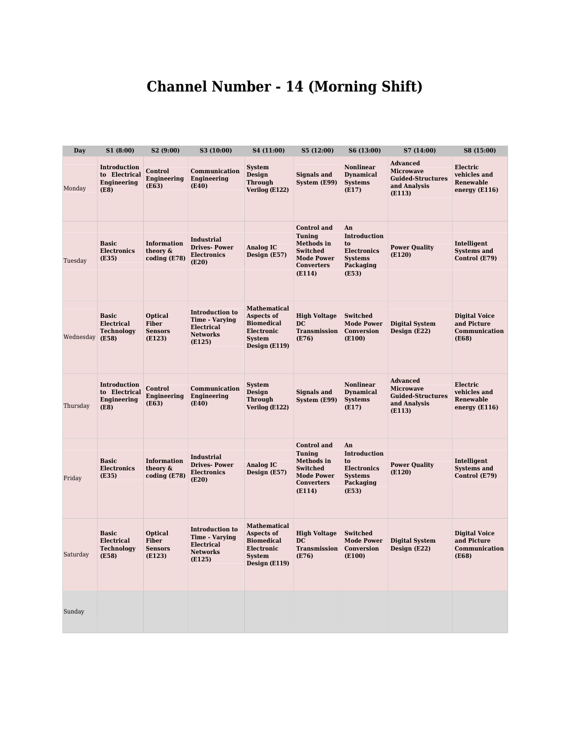## Channel Number - 14 (Morning Shift)

| <b>Day</b> | S1(8:00)                                                    | S2 (9:00)                                                  | S3 (10:00)                                                                                        | S4 (11:00)                                                                                             | S5 (12:00)                                                                                                                      | S6 (13:00)                                                                             | S7 (14:00)                                                                                | S8 (15:00)                                                           |
|------------|-------------------------------------------------------------|------------------------------------------------------------|---------------------------------------------------------------------------------------------------|--------------------------------------------------------------------------------------------------------|---------------------------------------------------------------------------------------------------------------------------------|----------------------------------------------------------------------------------------|-------------------------------------------------------------------------------------------|----------------------------------------------------------------------|
| Monday     | <b>Introduction</b><br>to Electrical<br>Engineering<br>(E8) | Control<br>Engineering<br>(E63)                            | Communication<br>Engineering<br>(E40)                                                             | <b>System</b><br>Design<br><b>Through</b><br>Verilog (E122)                                            | <b>Signals and</b><br>System (E99)                                                                                              | <b>Nonlinear</b><br><b>Dynamical</b><br><b>Systems</b><br>(E17)                        | <b>Advanced</b><br><b>Microwave</b><br><b>Guided-Structures</b><br>and Analysis<br>(E113) | Electric<br>vehicles and<br>Renewable<br>energy $(E116)$             |
| Tuesday    | <b>Basic</b><br><b>Electronics</b><br>(E35)                 | <b>Information</b><br>theory &<br>coding (E78)             | <b>Industrial</b><br><b>Drives-Power</b><br><b>Electronics</b><br>(E20)                           | <b>Analog IC</b><br>Design (E57)                                                                       | <b>Control</b> and<br><b>Tuning</b><br><b>Methods</b> in<br><b>Switched</b><br><b>Mode Power</b><br><b>Converters</b><br>(E114) | An<br>Introduction<br>to<br><b>Electronics</b><br><b>Systems</b><br>Packaging<br>(E53) | <b>Power Quality</b><br>(E120)                                                            | Intelligent<br><b>Systems and</b><br>Control (E79)                   |
| Wednesday  | <b>Basic</b><br>Electrical<br><b>Technology</b><br>(E58)    | <b>Optical</b><br><b>Fiber</b><br><b>Sensors</b><br>(E123) | <b>Introduction to</b><br><b>Time - Varying</b><br><b>Electrical</b><br><b>Networks</b><br>(E125) | <b>Mathematical</b><br>Aspects of<br><b>Biomedical</b><br>Electronic<br><b>System</b><br>Design (E119) | <b>High Voltage</b><br>D <sub>C</sub><br><b>Transmission</b><br>(E76)                                                           | <b>Switched</b><br><b>Mode Power</b><br>Conversion<br>(E100)                           | <b>Digital System</b><br>Design (E22)                                                     | <b>Digital Voice</b><br>and Picture<br>Communication<br>(E68)        |
|            |                                                             |                                                            |                                                                                                   |                                                                                                        |                                                                                                                                 |                                                                                        |                                                                                           |                                                                      |
| Thursday   | Introduction<br>to Electrical<br>Engineering<br>(E8)        | Control<br>Engineering<br>(E63)                            | Communication<br>Engineering<br>(E40)                                                             | <b>System</b><br><b>Design</b><br><b>Through</b><br>Verilog (E122)                                     | <b>Signals and</b><br>System (E99)                                                                                              | <b>Nonlinear</b><br><b>Dynamical</b><br><b>Systems</b><br>(E17)                        | <b>Advanced</b><br><b>Microwave</b><br><b>Guided-Structures</b><br>and Analysis<br>(E113) | Electric<br>vehicles and<br>Renewable<br>energy $(E116)$             |
|            |                                                             |                                                            |                                                                                                   |                                                                                                        | <b>Control</b> and                                                                                                              | An                                                                                     |                                                                                           |                                                                      |
| Friday     | <b>Basic</b><br><b>Electronics</b><br>(E35)                 | <b>Information</b><br>theory &<br>coding (E78)             | <b>Industrial</b><br><b>Drives-Power</b><br><b>Electronics</b><br>(E20)                           | <b>Analog IC</b><br>Design (E57)                                                                       | <b>Tuning</b><br><b>Methods</b> in<br><b>Switched</b><br><b>Mode Power</b><br><b>Converters</b><br>(E114)                       | Introduction<br>to<br><b>Electronics</b><br><b>Systems</b><br>Packaging<br>(E53)       | <b>Power Quality</b><br>(E120)                                                            | Intelligent<br><b>Systems and</b><br>Control (E79)                   |
| Saturday   | <b>Basic</b><br>Electrical<br><b>Technology</b><br>(E58)    | Optical<br><b>Fiber</b><br><b>Sensors</b><br>(E123)        | <b>Introduction to</b><br><b>Time - Varying</b><br><b>Electrical</b><br><b>Networks</b><br>(E125) | <b>Mathematical</b><br>Aspects of<br><b>Biomedical</b><br>Electronic<br><b>System</b><br>Design (E119) | <b>High Voltage</b><br>DC<br>Transmission<br>(E76)                                                                              | Switched<br><b>Mode Power</b><br>Conversion<br>(E100)                                  | <b>Digital System</b><br>Design (E22)                                                     | <b>Digital Voice</b><br>and Picture<br>Communication<br><b>(E68)</b> |
| Sunday     |                                                             |                                                            |                                                                                                   |                                                                                                        |                                                                                                                                 |                                                                                        |                                                                                           |                                                                      |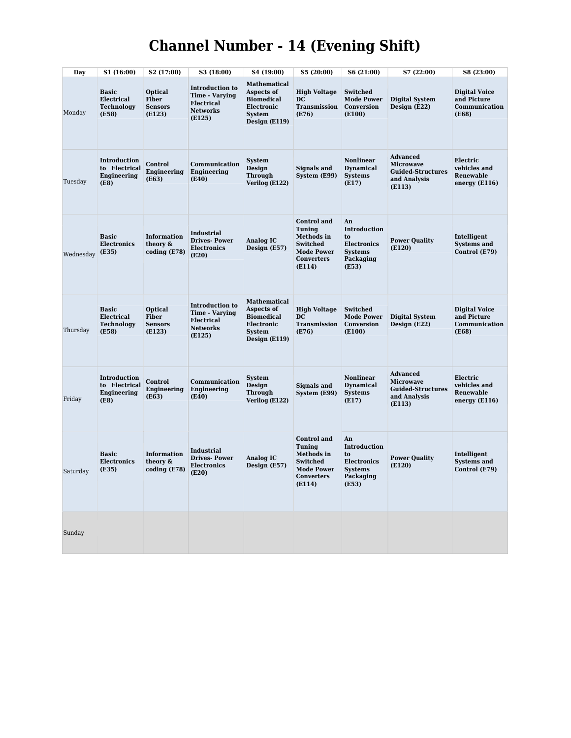## Channel Number - 14 (Evening Shift)

| Day       | S1 (16:00)                                               | S2 (17:00)                                                 | S3 (18:00)                                                                                        | S4 (19:00)                                                                                             | S5 (20:00)                                                                                                | S6 (21:00)                                                                       | S7 (22:00)                                                                                | S8 (23:00)                                                      |
|-----------|----------------------------------------------------------|------------------------------------------------------------|---------------------------------------------------------------------------------------------------|--------------------------------------------------------------------------------------------------------|-----------------------------------------------------------------------------------------------------------|----------------------------------------------------------------------------------|-------------------------------------------------------------------------------------------|-----------------------------------------------------------------|
| Monday    | <b>Basic</b><br>Electrical<br><b>Technology</b><br>(E58) | <b>Optical</b><br><b>Fiber</b><br><b>Sensors</b><br>(E123) | <b>Introduction to</b><br><b>Time - Varying</b><br><b>Electrical</b><br><b>Networks</b><br>(E125) | <b>Mathematical</b><br>Aspects of<br><b>Biomedical</b><br>Electronic<br><b>System</b><br>Design (E119) | <b>High Voltage</b><br>DC<br><b>Transmission</b><br>(E76)                                                 | <b>Switched</b><br><b>Mode Power</b><br>Conversion<br>(E100)                     | <b>Digital System</b><br>Design (E22)                                                     | <b>Digital Voice</b><br>and Picture<br>Communication<br>(E68)   |
| Tuesday   | Introduction<br>to Electrical<br>Engineering<br>(E8)     | Control<br><b>Engineering</b><br>(E63)                     | Communication<br>Engineering<br>(E40)                                                             | <b>System</b><br>Design<br><b>Through</b><br>Verilog (E122)                                            | <b>Signals and</b><br>System (E99)                                                                        | <b>Nonlinear</b><br><b>Dynamical</b><br><b>Systems</b><br>(E17)                  | <b>Advanced</b><br><b>Microwave</b><br><b>Guided-Structures</b><br>and Analysis<br>(E113) | Electric<br>vehicles and<br><b>Renewable</b><br>energy (E116)   |
|           |                                                          |                                                            |                                                                                                   |                                                                                                        | <b>Control</b> and<br><b>Tuning</b>                                                                       | An<br>Introduction                                                               |                                                                                           |                                                                 |
| Wednesday | <b>Basic</b><br><b>Electronics</b><br>(E35)              | <b>Information</b><br>theory &<br>coding (E78)             | Industrial<br><b>Drives-Power</b><br><b>Electronics</b><br>(E20)                                  | <b>Analog IC</b><br>Design (E57)                                                                       | Methods in<br><b>Switched</b><br><b>Mode Power</b><br><b>Converters</b><br>(E114)                         | to<br><b>Electronics</b><br><b>Systems</b><br>Packaging<br>(E53)                 | <b>Power Quality</b><br>(E120)                                                            | Intelligent<br><b>Systems and</b><br>Control (E79)              |
| Thursday  | <b>Basic</b><br>Electrical<br><b>Technology</b><br>(E58) | <b>Optical</b><br><b>Fiber</b><br><b>Sensors</b><br>(E123) | <b>Introduction to</b><br><b>Time - Varying</b><br><b>Electrical</b><br><b>Networks</b><br>(E125) | <b>Mathematical</b><br>Aspects of<br><b>Biomedical</b><br>Electronic<br><b>System</b><br>Design (E119) | <b>High Voltage</b><br>DC.<br><b>Transmission</b><br>(E76)                                                | <b>Switched</b><br><b>Mode Power</b><br>Conversion<br>(E100)                     | <b>Digital System</b><br>Design (E22)                                                     | <b>Digital Voice</b><br>and Picture<br>Communication<br>(E68)   |
| Friday    | Introduction<br>to Electrical<br>Engineering<br>(E8)     | Control<br>Engineering<br>(E63)                            | Communication<br>Engineering<br>(E40)                                                             | <b>System</b><br><b>Design</b><br><b>Through</b><br>Verilog (E122)                                     | <b>Signals and</b><br>System (E99)                                                                        | <b>Nonlinear</b><br><b>Dynamical</b><br><b>Systems</b><br>(E17)                  | <b>Advanced</b><br><b>Microwave</b><br><b>Guided-Structures</b><br>and Analysis<br>(E113) | Electric<br>vehicles and<br><b>Renewable</b><br>energy $(E116)$ |
|           |                                                          |                                                            |                                                                                                   |                                                                                                        | <b>Control</b> and                                                                                        | An                                                                               |                                                                                           |                                                                 |
| Saturday  | <b>Basic</b><br><b>Electronics</b><br>(E35)              | <b>Information</b><br>theory &<br>coding (E78)             | <b>Industrial</b><br><b>Drives-Power</b><br><b>Electronics</b><br>(E20)                           | <b>Analog IC</b><br>Design (E57)                                                                       | <b>Tuning</b><br><b>Methods</b> in<br><b>Switched</b><br><b>Mode Power</b><br><b>Converters</b><br>(E114) | Introduction<br>to<br><b>Electronics</b><br><b>Systems</b><br>Packaging<br>(E53) | <b>Power Quality</b><br>(E120)                                                            | Intelligent<br><b>Systems and</b><br>Control (E79)              |
| Sunday    |                                                          |                                                            |                                                                                                   |                                                                                                        |                                                                                                           |                                                                                  |                                                                                           |                                                                 |